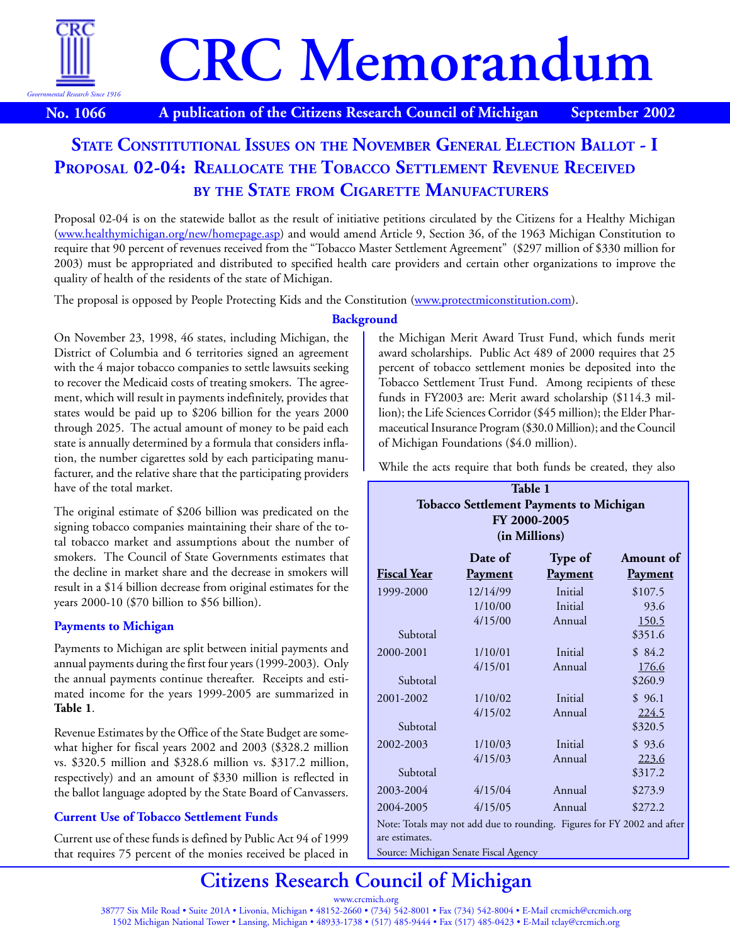

# **CRC Memorandum**

**No. 1066 A publication of the Citizens Research Council of Michigan September 2002**

# **PROPOSAL 02-04: REALLOCATE THE TOBACCO SETTLEMENT REVENUE RECEIVED BY THE STATE FROM CIGARETTE MANUFACTURERS STATE CONSTITUTIONAL ISSUES ON THE NOVEMBER GENERAL ELECTION BALLOT - I**

Proposal 02-04 is on the statewide ballot as the result of initiative petitions circulated by the Citizens for a Healthy Michigan [\(www.healthymichigan.org/new/homepage.asp\)](http://www.healthymichigan.org/new/homepage.asp) and would amend [Article 9, Section 36,](http://www.michiganlegislature.org/mileg.asp?page=getObject&objName=mcl-Constitution-IX-36&highlight=) of the 1963 Michigan Constitution to require that 90 percent of revenues received from the "Tobacco Master Settlement Agreement" (\$297 million of \$330 million for 2003) must be appropriated and distributed to specified health care providers and certain other organizations to improve the quality of health of the residents of the state of Michigan.

The proposal is opposed by People Protecting Kids and the Constitution [\(www.protectmiconstitution.com\).](http://www.protectmiconstitution.com)

# **Background**

On November 23, 1998, 46 states, including Michigan, the District of Columbia and 6 territories signed an agreement with the 4 major tobacco companies to settle lawsuits seeking to recover the Medicaid costs of treating smokers. The agreement, which will result in payments indefinitely, provides that states would be paid up to \$206 billion for the years 2000 through 2025. The actual amount of money to be paid each state is annually determined by a formula that considers inflation, the number cigarettes sold by each participating manufacturer, and the relative share that the participating providers have of the total market.

The original estimate of \$206 billion was predicated on the signing tobacco companies maintaining their share of the total tobacco market and assumptions about the number of smokers. The Council of State Governments estimates that the decline in market share and the decrease in smokers will result in a \$14 billion decrease from original estimates for the years 2000-10 (\$70 billion to \$56 billion).

# **Payments to Michigan**

Payments to Michigan are split between initial payments and annual payments during the first four years (1999-2003). Only the annual payments continue thereafter. Receipts and estimated income for the years 1999-2005 are summarized in **Table 1**.

Revenue Estimates by the Office of the State Budget are somewhat higher for fiscal years 2002 and 2003 (\$328.2 million vs. \$320.5 million and \$328.6 million vs. \$317.2 million, respectively) and an amount of \$330 million is reflected in the ballot language adopted by the State Board of Canvassers.

# **Current Use of Tobacco Settlement Funds**

Current use of these funds is defined by [Public Act 94 of 1999](http://www.michiganlegislature.org/mileg.asp?page=getObject&objName=mcl-Act-94-of-1999&userid=) that requires 75 percent of the monies received be placed in the Michigan Merit Award Trust Fund, which funds merit award scholarships. [Public Act 489 of 2000](http://www.michiganlegislature.org/mileg.asp?page=getObject&objName=mcl-Act-489-of-2000&userid=) requires that 25 percent of tobacco settlement monies be deposited into the Tobacco Settlement Trust Fund. Among recipients of these funds in FY2003 are: Merit award scholarship (\$114.3 million); the Life Sciences Corridor (\$45 million); the Elder Pharmaceutical Insurance Program (\$30.0 Million); and the Council of Michigan Foundations (\$4.0 million).

While the acts require that both funds be created, they also

| Table 1                                                                                   |                |                |                |  |  |  |
|-------------------------------------------------------------------------------------------|----------------|----------------|----------------|--|--|--|
| <b>Tobacco Settlement Payments to Michigan</b>                                            |                |                |                |  |  |  |
| FY 2000-2005                                                                              |                |                |                |  |  |  |
| (in Millions)                                                                             |                |                |                |  |  |  |
| Date of<br><b>Type of</b><br>Amount of                                                    |                |                |                |  |  |  |
| Fiscal Year                                                                               | <b>Payment</b> | <b>Payment</b> | <b>Payment</b> |  |  |  |
| 1999-2000                                                                                 | 12/14/99       | Initial        | \$107.5        |  |  |  |
|                                                                                           | 1/10/00        | Initial        | 93.6           |  |  |  |
|                                                                                           | 4/15/00        | Annual         | <u>150.5</u>   |  |  |  |
| Subtotal                                                                                  |                |                | \$351.6        |  |  |  |
| 2000-2001                                                                                 | 1/10/01        | Initial        | \$84.2         |  |  |  |
|                                                                                           | 4/15/01        | Annual         | 176.6          |  |  |  |
| Subtotal                                                                                  |                |                | \$260.9        |  |  |  |
| 2001-2002                                                                                 | 1/10/02        | Initial        | \$96.1         |  |  |  |
|                                                                                           | 4/15/02        | Annual         | <u>224.5</u>   |  |  |  |
| Subtotal                                                                                  |                |                | \$320.5        |  |  |  |
| 2002-2003                                                                                 | 1/10/03        | Initial        | \$93.6         |  |  |  |
|                                                                                           | 4/15/03        | Annual         | 223.6          |  |  |  |
| Subtotal                                                                                  |                |                | \$317.2        |  |  |  |
| 2003-2004                                                                                 | 4/15/04        | Annual         | \$273.9        |  |  |  |
| 2004-2005                                                                                 | 4/15/05        | Annual         | \$272.2        |  |  |  |
| Note: Totals may not add due to rounding. Figures for FY 2002 and after<br>are estimates. |                |                |                |  |  |  |
| Source: Michigan Senate Fiscal Agency                                                     |                |                |                |  |  |  |

# **[Citizens Research Council of Michigan](http://www.crcmich.org)**

www.crcmich.org 38777 Six Mile Road • Suite 201A • Livonia, Michigan • 48152-2660 • (734) 542-8001 • Fax (734) 542-8004 • E-Mail crcmich@crcmich.org 1502 Michigan National Tower • Lansing, Michigan • 48933-1738 • (517) 485-9444 • Fax (517) 485-0423 • E-Mail tclay@crcmich.org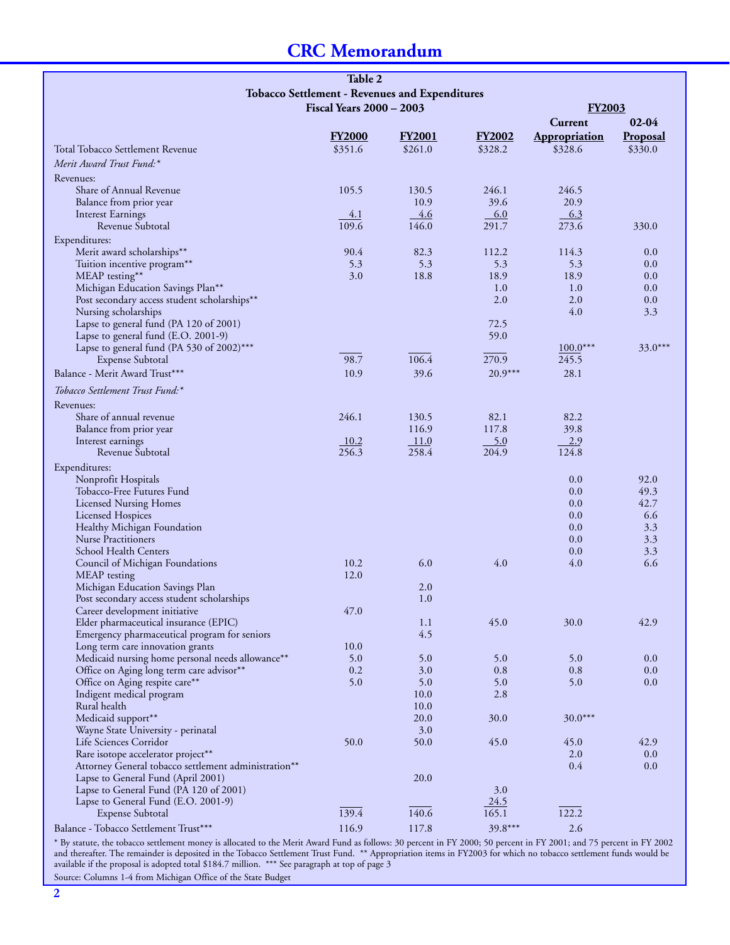# **CRC Memorandum**

|                                                                               | Table 2                                        |               |               |                      |                 |
|-------------------------------------------------------------------------------|------------------------------------------------|---------------|---------------|----------------------|-----------------|
|                                                                               | Tobacco Settlement - Revenues and Expenditures |               |               |                      |                 |
|                                                                               | <b>FY2003</b>                                  |               |               |                      |                 |
|                                                                               | <b>Fiscal Years 2000 - 2003</b>                |               |               | $02 - 04$<br>Current |                 |
|                                                                               |                                                |               |               |                      |                 |
| Total Tobacco Settlement Revenue                                              | <b>FY2000</b>                                  | <b>FY2001</b> | <b>FY2002</b> | <b>Appropriation</b> | <b>Proposal</b> |
|                                                                               | \$351.6                                        | \$261.0       | \$328.2       | \$328.6              | \$330.0         |
| Merit Award Trust Fund:*                                                      |                                                |               |               |                      |                 |
| Revenues:                                                                     |                                                |               |               |                      |                 |
| Share of Annual Revenue                                                       | 105.5                                          | 130.5         | 246.1         | 246.5                |                 |
| Balance from prior year                                                       |                                                | 10.9          | 39.6          | 20.9                 |                 |
| <b>Interest Earnings</b><br>Revenue Subtotal                                  | 4.1<br>109.6                                   | 4.6<br>146.0  | 6.0<br>291.7  | 6.3<br>273.6         | 330.0           |
|                                                                               |                                                |               |               |                      |                 |
| Expenditures:<br>Merit award scholarships**                                   | 90.4                                           | 82.3          | 112.2         | 114.3                | 0.0             |
| Tuition incentive program**                                                   | 5.3                                            | 5.3           | 5.3           | 5.3                  | 0.0             |
| MEAP testing**                                                                | 3.0                                            | 18.8          | 18.9          | 18.9                 | 0.0             |
| Michigan Education Savings Plan**                                             |                                                |               | 1.0           | 1.0                  | 0.0             |
| Post secondary access student scholarships**                                  |                                                |               | 2.0           | 2.0                  | 0.0             |
| Nursing scholarships                                                          |                                                |               |               | 4.0                  | 3.3             |
| Lapse to general fund (PA 120 of 2001)                                        |                                                |               | 72.5          |                      |                 |
| Lapse to general fund (E.O. 2001-9)                                           |                                                |               | 59.0          |                      |                 |
| Lapse to general fund (PA 530 of 2002)***                                     |                                                |               |               | $100.0***$           | $33.0***$       |
| <b>Expense Subtotal</b>                                                       | 98.7                                           | 106.4         | 270.9         | 245.5                |                 |
| Balance - Merit Award Trust***                                                | 10.9                                           | 39.6          | $20.9***$     | 28.1                 |                 |
| Tobacco Settlement Trust Fund:*                                               |                                                |               |               |                      |                 |
| Revenues:                                                                     |                                                |               |               |                      |                 |
| Share of annual revenue                                                       | 246.1                                          | 130.5         | 82.1          | 82.2                 |                 |
| Balance from prior year                                                       |                                                | 116.9         | 117.8         | 39.8                 |                 |
| Interest earnings                                                             | 10.2                                           | 11.0          | $-5.0$        | 2.9                  |                 |
| Revenue Subtotal                                                              | 256.3                                          | 258.4         | 204.9         | 124.8                |                 |
| Expenditures:                                                                 |                                                |               |               |                      |                 |
| Nonprofit Hospitals                                                           |                                                |               |               | 0.0                  | 92.0            |
| Tobacco-Free Futures Fund                                                     |                                                |               |               | 0.0                  | 49.3            |
| <b>Licensed Nursing Homes</b>                                                 |                                                |               |               | 0.0                  | 42.7            |
| Licensed Hospices                                                             |                                                |               |               | 0.0                  | 6.6             |
| Healthy Michigan Foundation                                                   |                                                |               |               | 0.0                  | 3.3             |
| <b>Nurse Practitioners</b>                                                    |                                                |               |               | 0.0                  | 3.3             |
| School Health Centers                                                         |                                                |               |               | 0.0                  | 3.3             |
| Council of Michigan Foundations                                               | 10.2                                           | 6.0           | 4.0           | 4.0                  | 6.6             |
| MEAP testing                                                                  | 12.0                                           | 2.0           |               |                      |                 |
| Michigan Education Savings Plan<br>Post secondary access student scholarships |                                                | 1.0           |               |                      |                 |
| Career development initiative                                                 | 47.0                                           |               |               |                      |                 |
| Elder pharmaceutical insurance (EPIC)                                         |                                                | 1.1           | 45.0          | 30.0                 | 42.9            |
| Emergency pharmaceutical program for seniors                                  |                                                | 4.5           |               |                      |                 |
| Long term care innovation grants                                              | 10.0                                           |               |               |                      |                 |
| Medicaid nursing home personal needs allowance**                              | 5.0                                            | 5.0           | 5.0           | 5.0                  | $0.0\,$         |
| Office on Aging long term care advisor**                                      | 0.2                                            | 3.0           | 0.8           | 0.8                  | 0.0             |
| Office on Aging respite care**                                                | 5.0                                            | 5.0           | 5.0           | 5.0                  | 0.0             |
| Indigent medical program                                                      |                                                | 10.0          | 2.8           |                      |                 |
| Rural health                                                                  |                                                | 10.0          |               |                      |                 |
| Medicaid support**                                                            |                                                | 20.0          | 30.0          | $30.0***$            |                 |
| Wayne State University - perinatal                                            |                                                | 3.0           |               |                      |                 |
| Life Sciences Corridor                                                        | 50.0                                           | 50.0          | 45.0          | 45.0                 | 42.9            |
| Rare isotope accelerator project**                                            |                                                |               |               | 2.0                  | 0.0             |
| Attorney General tobacco settlement administration**                          |                                                | 20.0          |               | 0.4                  | 0.0             |
| Lapse to General Fund (April 2001)<br>Lapse to General Fund (PA 120 of 2001)  |                                                |               | 3.0           |                      |                 |
| Lapse to General Fund (E.O. 2001-9)                                           |                                                |               | 24.5          |                      |                 |
| Expense Subtotal                                                              | 139.4                                          | 140.6         | 165.1         | 122.2                |                 |
| Balance - Tobacco Settlement Trust***                                         | 116.9                                          | 117.8         | 39.8***       | 2.6                  |                 |
|                                                                               |                                                |               |               |                      |                 |

\* By statute, the tobacco settlement money is allocated to the Merit Award Fund as follows: 30 percent in FY 2000; 50 percent in FY 2001; and 75 percent in FY 2002 and thereafter. The remainder is deposited in the Tobacco Settlement Trust Fund. \*\* Appropriation items in FY2003 for which no tobacco settlement funds would be available if the proposal is adopted total \$184.7 million. \*\*\* See paragraph at top of page 3 Source: Columns 1-4 from Michigan Office of the State Budget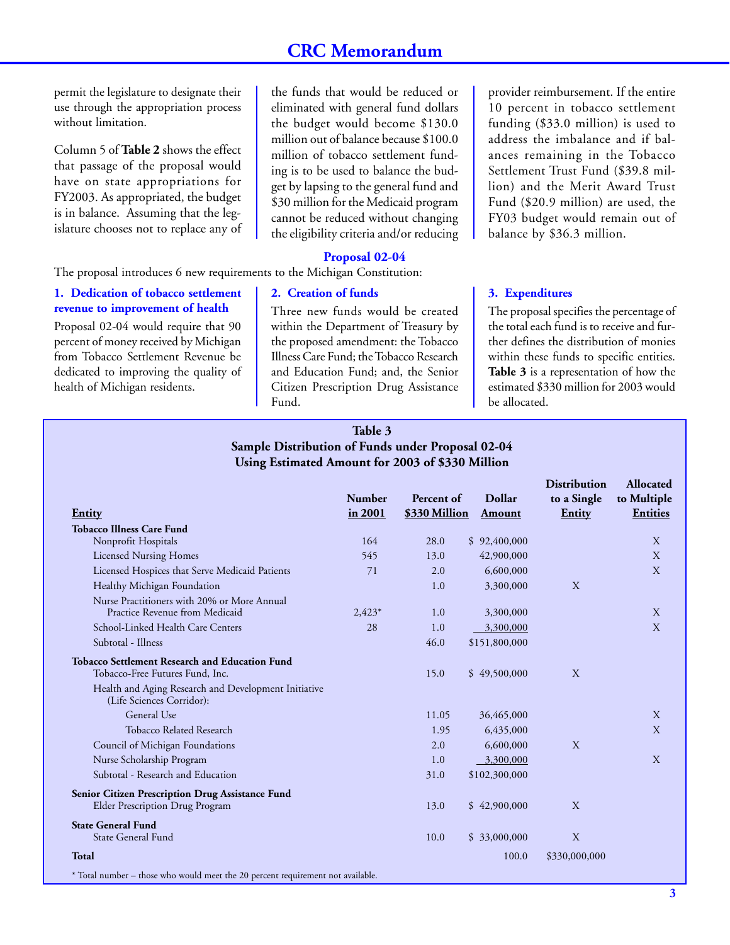# **CRC Memorandum**

permit the legislature to designate their use through the appropriation process without limitation.

Column 5 of **Table 2** shows the effect that passage of the proposal would have on state appropriations for FY2003. As appropriated, the budget is in balance. Assuming that the legislature chooses not to replace any of

the funds that would be reduced or eliminated with general fund dollars the budget would become \$130.0 million out of balance because \$100.0 million of tobacco settlement funding is to be used to balance the budget by lapsing to the general fund and \$30 million for the Medicaid program cannot be reduced without changing the eligibility criteria and/or reducing

#### **Proposal 02-04**

The proposal introduces 6 new requirements to the Michigan Constitution:

#### **1. Dedication of tobacco settlement revenue to improvement of health**

Proposal 02-04 would require that 90 percent of money received by Michigan from Tobacco Settlement Revenue be dedicated to improving the quality of health of Michigan residents.

#### **2. Creation of funds**

Three new funds would be created within the Department of Treasury by the proposed amendment: the Tobacco Illness Care Fund; the Tobacco Research and Education Fund; and, the Senior Citizen Prescription Drug Assistance Fund.

provider reimbursement. If the entire 10 percent in tobacco settlement funding (\$33.0 million) is used to address the imbalance and if balances remaining in the Tobacco Settlement Trust Fund (\$39.8 million) and the Merit Award Trust Fund (\$20.9 million) are used, the FY03 budget would remain out of balance by \$36.3 million.

#### **3. Expenditures**

The proposal specifies the percentage of the total each fund is to receive and further defines the distribution of monies within these funds to specific entities. **Table 3** is a representation of how the estimated \$330 million for 2003 would be allocated.

#### **Table 3 Sample Distribution of Funds under Proposal 02-04 Using Estimated Amount for 2003 of \$330 Million**

| Entity                                                                                                                                                                        | <b>Number</b><br>in 2001 | Percent of<br>\$330 Million | <b>Dollar</b><br><b>Amount</b> | <b>Distribution</b><br>to a Single<br>Entity | <b>Allocated</b><br>to Multiple<br><b>Entities</b> |
|-------------------------------------------------------------------------------------------------------------------------------------------------------------------------------|--------------------------|-----------------------------|--------------------------------|----------------------------------------------|----------------------------------------------------|
| <b>Tobacco Illness Care Fund</b>                                                                                                                                              |                          |                             |                                |                                              |                                                    |
| Nonprofit Hospitals                                                                                                                                                           | 164                      | 28.0                        | \$92,400,000                   |                                              | X                                                  |
| <b>Licensed Nursing Homes</b>                                                                                                                                                 | 545                      | 13.0                        | 42,900,000                     |                                              | X                                                  |
| Licensed Hospices that Serve Medicaid Patients                                                                                                                                | 71                       | 2.0                         | 6,600,000                      |                                              | X                                                  |
| Healthy Michigan Foundation                                                                                                                                                   |                          | 1.0                         | 3,300,000                      | X                                            |                                                    |
| Nurse Practitioners with 20% or More Annual<br>Practice Revenue from Medicaid                                                                                                 | $2,423*$                 | 1.0                         | 3,300,000                      |                                              | X                                                  |
| School-Linked Health Care Centers                                                                                                                                             | 28                       | 1.0                         | 3,300,000                      |                                              | X                                                  |
| Subtotal - Illness                                                                                                                                                            |                          | 46.0                        | \$151,800,000                  |                                              |                                                    |
| <b>Tobacco Settlement Research and Education Fund</b><br>Tobacco-Free Futures Fund, Inc.<br>Health and Aging Research and Development Initiative<br>(Life Sciences Corridor): |                          | 15.0                        | \$49,500,000                   | X                                            |                                                    |
| General Use                                                                                                                                                                   |                          | 11.05                       | 36,465,000                     |                                              | $\mathbf{X}$                                       |
| Tobacco Related Research                                                                                                                                                      |                          | 1.95                        | 6,435,000                      |                                              | X                                                  |
| Council of Michigan Foundations                                                                                                                                               |                          | 2.0                         | 6,600,000                      | X                                            |                                                    |
| Nurse Scholarship Program                                                                                                                                                     |                          | 1.0                         | 3,300,000                      |                                              | X                                                  |
| Subtotal - Research and Education                                                                                                                                             |                          | 31.0                        | \$102,300,000                  |                                              |                                                    |
| Senior Citizen Prescription Drug Assistance Fund<br>Elder Prescription Drug Program                                                                                           |                          | 13.0                        | \$42,900,000                   | X                                            |                                                    |
| <b>State General Fund</b><br><b>State General Fund</b>                                                                                                                        |                          | 10.0                        | \$33,000,000                   | X                                            |                                                    |
| <b>Total</b>                                                                                                                                                                  |                          |                             | 100.0                          | \$330,000,000                                |                                                    |
| * Total number – those who would meet the 20 percent requirement not available.                                                                                               |                          |                             |                                |                                              |                                                    |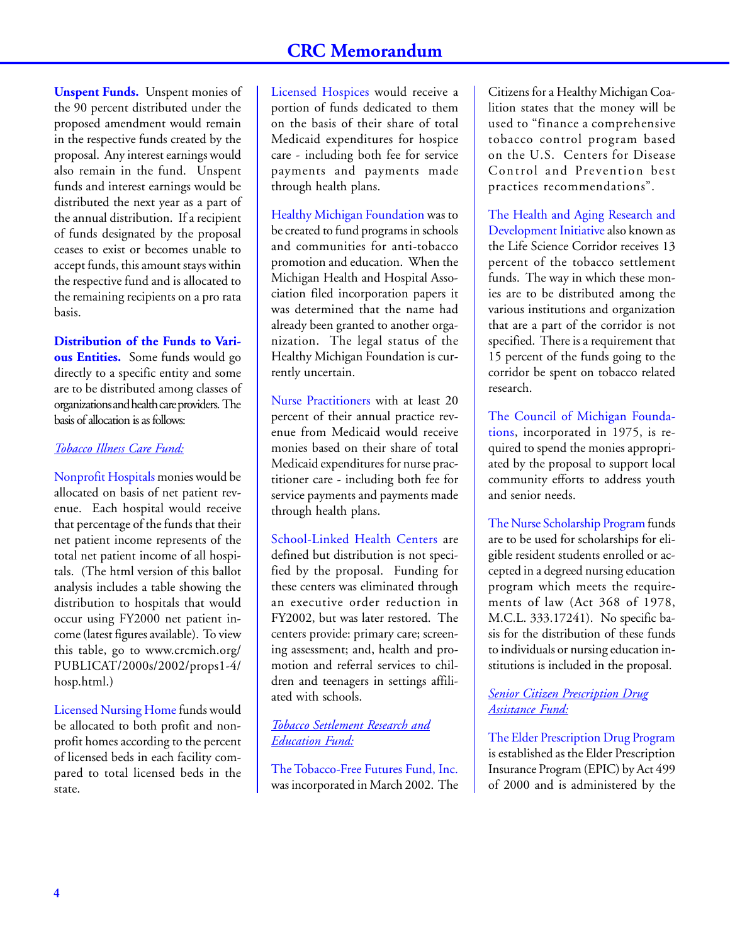**Unspent Funds.** Unspent monies of the 90 percent distributed under the proposed amendment would remain in the respective funds created by the proposal. Any interest earnings would also remain in the fund. Unspent funds and interest earnings would be distributed the next year as a part of the annual distribution. If a recipient of funds designated by the proposal ceases to exist or becomes unable to accept funds, this amount stays within the respective fund and is allocated to the remaining recipients on a pro rata basis.

**Distribution of the Funds to Various Entities.** Some funds would go directly to a specific entity and some are to be distributed among classes of organizations and health care providers. The basis of allocation is as follows:

### *Tobacco Illness Care Fund:*

Nonprofit Hospitals monies would be allocated on basis of net patient revenue. Each hospital would receive that percentage of the funds that their net patient income represents of the total net patient income of all hospitals. (The html version of this ballot analysis includes a table showing the distribution to hospitals that would occur using FY2000 net patient income (latest figures available). To view this table, go to [www.crcmich.org/](http://www.crcmich.org/PUBLICAT/2000s/2002/props1-4/hosp.html) [PUBLICAT/2000s/2002/props1-4/](http://www.crcmich.org/PUBLICAT/2000s/2002/props1-4/hosp.html) [hosp.html.\)](http://www.crcmich.org/PUBLICAT/2000s/2002/props1-4/hosp.html)

Licensed Nursing Home funds would be allocated to both profit and nonprofit homes according to the percent of licensed beds in each facility compared to total licensed beds in the state.

Licensed Hospices would receive a portion of funds dedicated to them on the basis of their share of total Medicaid expenditures for hospice care - including both fee for service payments and payments made through health plans.

Healthy Michigan Foundation was to be created to fund programs in schools and communities for anti-tobacco promotion and education. When the Michigan Health and Hospital Association filed incorporation papers it was determined that the name had already been granted to another organization. The legal status of the Healthy Michigan Foundation is currently uncertain.

Nurse Practitioners with at least 20 percent of their annual practice revenue from Medicaid would receive monies based on their share of total Medicaid expenditures for nurse practitioner care - including both fee for service payments and payments made through health plans.

School-Linked Health Centers are defined but distribution is not specified by the proposal. Funding for these centers was eliminated through an executive order reduction in FY2002, but was later restored. The centers provide: primary care; screening assessment; and, health and promotion and referral services to children and teenagers in settings affiliated with schools.

# *Tobacco Settlement Research and Education Fund:*

The Tobacco-Free Futures Fund, Inc. was incorporated in March 2002. The Citizens for a Healthy Michigan Coalition states that the money will be used to "finance a comprehensive tobacco control program based on the U.S. Centers for Disease Control and Prevention best practices recommendations".

The Health and Aging Research and Development Initiative also known as the Life Science Corridor receives 13 percent of the tobacco settlement funds. The way in which these monies are to be distributed among the various institutions and organization that are a part of the corridor is not specified. There is a requirement that 15 percent of the funds going to the corridor be spent on tobacco related research.

The Council of Michigan Foundations, incorporated in 1975, is required to spend the monies appropriated by the proposal to support local community efforts to address youth and senior needs.

The Nurse Scholarship Program funds are to be used for scholarships for eligible resident students enrolled or accepted in a degreed nursing education program which meets the requirements of law [\(Act 368 of 1978,](http://www.michiganlegislature.org/mileg.asp?page=getObject&objName=mcl-333-17241&highlight=) [M.C.L. 333.17241\)](http://www.michiganlegislature.org/mileg.asp?page=getObject&objName=mcl-333-17241&highlight=). No specific basis for the distribution of these funds to individuals or nursing education institutions is included in the proposal.

*Senior Citizen Prescription Drug Assistance Fund:*

The Elder Prescription Drug Program is established as the Elder Prescription Insurance Program (EPIC) by [Act 499](http://www.michiganlegislature.org/mileg.asp?page=getObject&objName=2000-SB-1278&userid=) [of 2000](http://www.michiganlegislature.org/mileg.asp?page=getObject&objName=2000-SB-1278&userid=) and is administered by the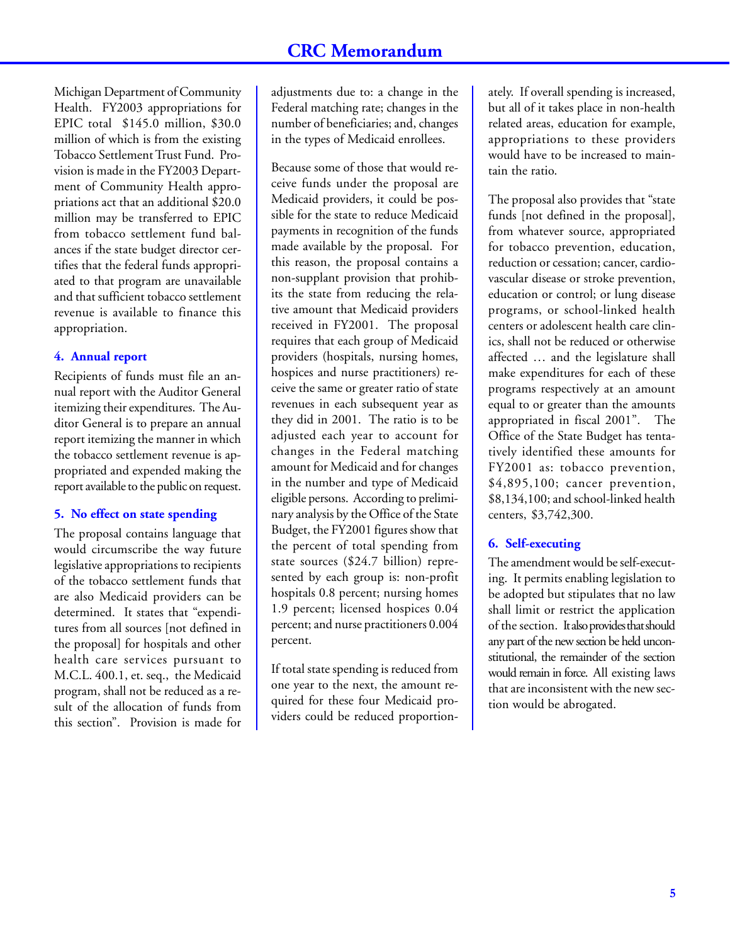Michigan Department of Community Health. FY2003 appropriations for EPIC total \$145.0 million, \$30.0 million of which is from the existing Tobacco Settlement Trust Fund. Provision is made in the FY2003 Department of Community Health appropriations act that an additional \$20.0 million may be transferred to EPIC from tobacco settlement fund balances if the state budget director certifies that the federal funds appropriated to that program are unavailable and that sufficient tobacco settlement revenue is available to finance this appropriation.

# **4. Annual report**

Recipients of funds must file an annual report with the Auditor General itemizing their expenditures. The Auditor General is to prepare an annual report itemizing the manner in which the tobacco settlement revenue is appropriated and expended making the report available to the public on request.

# **5. No effect on state spending**

The proposal contains language that would circumscribe the way future legislative appropriations to recipients of the tobacco settlement funds that are also Medicaid providers can be determined. It states that "expenditures from all sources [not defined in the proposal] for hospitals and other health care services pursuant to [M.C.L. 400.1, et. seq., the Medicaid](http://www.michiganlegislature.org/mileg.asp?page=getObject&objName=mcl-Act-280-of-1939&highlight=) [program,](http://www.michiganlegislature.org/mileg.asp?page=getObject&objName=mcl-Act-280-of-1939&highlight=) shall not be reduced as a result of the allocation of funds from this section". Provision is made for adjustments due to: a change in the Federal matching rate; changes in the number of beneficiaries; and, changes in the types of Medicaid enrollees.

Because some of those that would receive funds under the proposal are Medicaid providers, it could be possible for the state to reduce Medicaid payments in recognition of the funds made available by the proposal. For this reason, the proposal contains a non-supplant provision that prohibits the state from reducing the relative amount that Medicaid providers received in FY2001. The proposal requires that each group of Medicaid providers (hospitals, nursing homes, hospices and nurse practitioners) receive the same or greater ratio of state revenues in each subsequent year as they did in 2001. The ratio is to be adjusted each year to account for changes in the Federal matching amount for Medicaid and for changes in the number and type of Medicaid eligible persons. According to preliminary analysis by the Office of the State Budget, the FY2001 figures show that the percent of total spending from state sources (\$24.7 billion) represented by each group is: non-profit hospitals 0.8 percent; nursing homes 1.9 percent; licensed hospices 0.04 percent; and nurse practitioners 0.004 percent.

If total state spending is reduced from one year to the next, the amount required for these four Medicaid providers could be reduced proportion-

ately. If overall spending is increased, but all of it takes place in non-health related areas, education for example, appropriations to these providers would have to be increased to maintain the ratio.

The proposal also provides that "state funds [not defined in the proposal], from whatever source, appropriated for tobacco prevention, education, reduction or cessation; cancer, cardiovascular disease or stroke prevention, education or control; or lung disease programs, or school-linked health centers or adolescent health care clinics, shall not be reduced or otherwise affected … and the legislature shall make expenditures for each of these programs respectively at an amount equal to or greater than the amounts appropriated in fiscal 2001". The Office of the State Budget has tentatively identified these amounts for FY2001 as: tobacco prevention, \$4,895,100; cancer prevention, \$8,134,100; and school-linked health centers, \$3,742,300.

# **6. Self-executing**

The amendment would be self-executing. It permits enabling legislation to be adopted but stipulates that no law shall limit or restrict the application of the section. It also provides that should any part of the new section be held unconstitutional, the remainder of the section would remain in force. All existing laws that are inconsistent with the new section would be abrogated.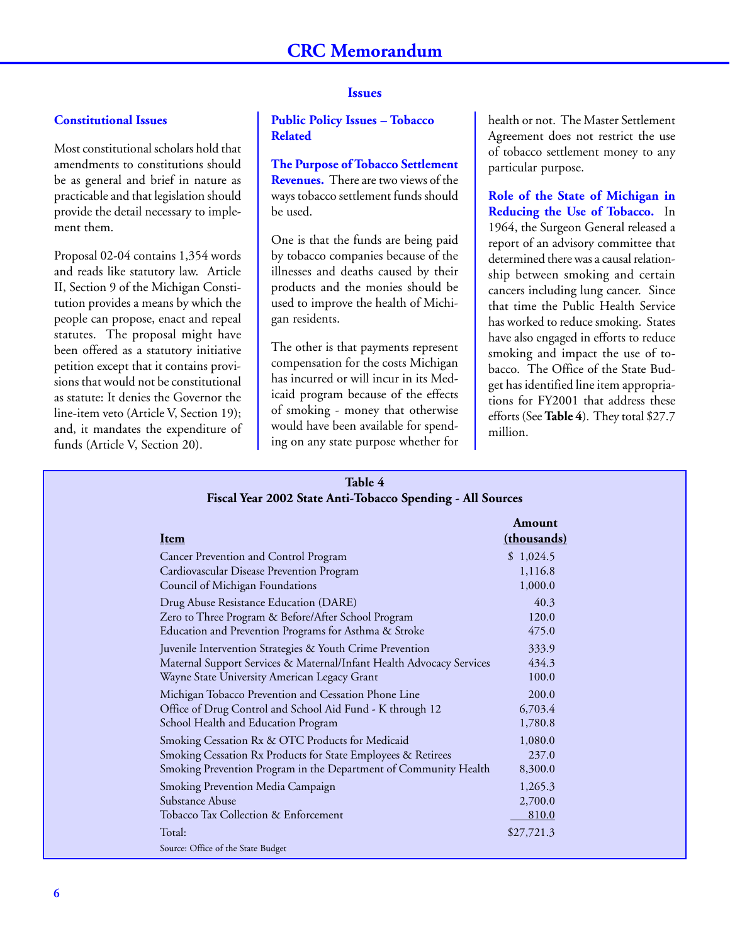#### **Constitutional Issues**

Most constitutional scholars hold that amendments to constitutions should be as general and brief in nature as practicable and that legislation should provide the detail necessary to implement them.

Proposal 02-04 contains 1,354 words and reads like statutory law. Article II, Section 9 of the Michigan Constitution provides a means by which the people can propose, enact and repeal statutes. The proposal might have been offered as a statutory initiative petition except that it contains provisions that would not be constitutional as statute: It denies the Governor the line-item veto (Article V, Section 19); and, it mandates the expenditure of funds (Article V, Section 20).

### **Issues**

**Public Policy Issues – Tobacco Related**

# **The Purpose of Tobacco Settlement**

**Revenues.** There are two views of the ways tobacco settlement funds should be used.

One is that the funds are being paid by tobacco companies because of the illnesses and deaths caused by their products and the monies should be used to improve the health of Michigan residents.

The other is that payments represent compensation for the costs Michigan has incurred or will incur in its Medicaid program because of the effects of smoking - money that otherwise would have been available for spending on any state purpose whether for

health or not. The Master Settlement Agreement does not restrict the use of tobacco settlement money to any particular purpose.

**Role of the State of Michigan in Reducing the Use of Tobacco.** In 1964, the Surgeon General released a report of an advisory committee that determined there was a causal relationship between smoking and certain cancers including lung cancer. Since that time the Public Health Service has worked to reduce smoking. States have also engaged in efforts to reduce smoking and impact the use of tobacco. The Office of the State Budget has identified line item appropriations for FY2001 that address these efforts (See **Table 4**). They total \$27.7 million.

#### **Table 4 Fiscal Year 2002 State Anti-Tobacco Spending - All Sources**

| Item                                                                 | Amount<br>(thousands) |
|----------------------------------------------------------------------|-----------------------|
| Cancer Prevention and Control Program                                | \$1,024.5             |
| Cardiovascular Disease Prevention Program                            | 1,116.8               |
| Council of Michigan Foundations                                      | 1,000.0               |
| Drug Abuse Resistance Education (DARE)                               | 40.3                  |
| Zero to Three Program & Before/After School Program                  | 120.0                 |
| Education and Prevention Programs for Asthma & Stroke                | 475.0                 |
| Juvenile Intervention Strategies & Youth Crime Prevention            | 333.9                 |
| Maternal Support Services & Maternal/Infant Health Advocacy Services | 434.3                 |
| Wayne State University American Legacy Grant                         | 100.0                 |
| Michigan Tobacco Prevention and Cessation Phone Line                 | 200.0                 |
| Office of Drug Control and School Aid Fund - K through 12            | 6,703.4               |
| School Health and Education Program                                  | 1,780.8               |
| Smoking Cessation Rx & OTC Products for Medicaid                     | 1,080.0               |
| Smoking Cessation Rx Products for State Employees & Retirees         | 237.0                 |
| Smoking Prevention Program in the Department of Community Health     | 8,300.0               |
| Smoking Prevention Media Campaign                                    | 1,265.3               |
| Substance Abuse                                                      | 2,700.0               |
| Tobacco Tax Collection & Enforcement                                 | 810.0                 |
| Total:                                                               | \$27,721.3            |
| Source: Office of the State Budget                                   |                       |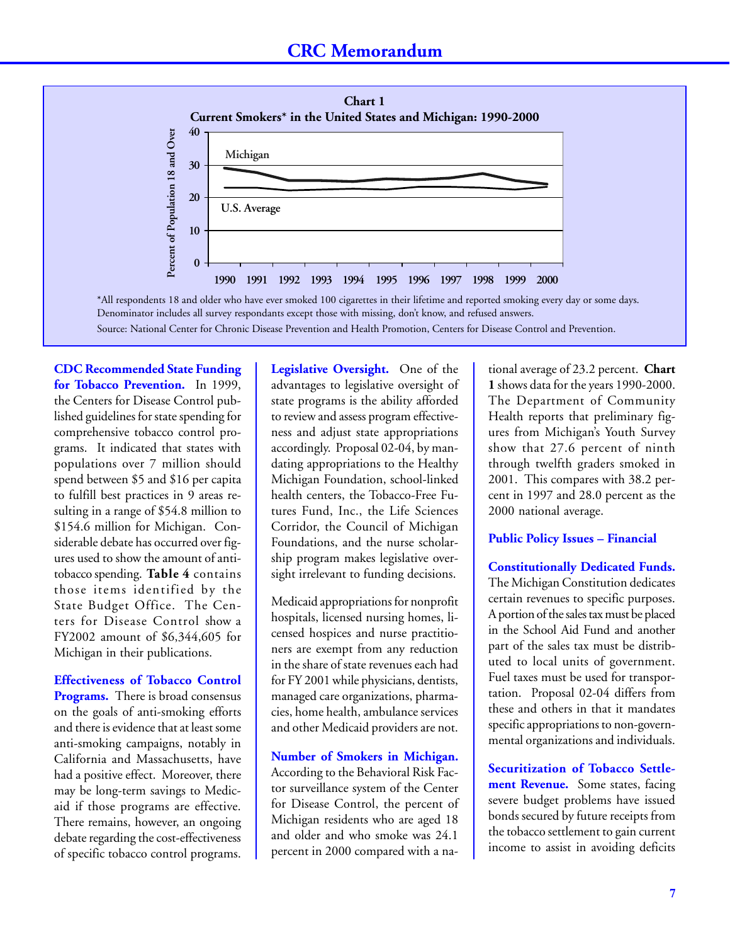

\*All respondents 18 and older who have ever smoked 100 cigarettes in their lifetime and reported smoking every day or some days. Denominator includes all survey respondants except those with missing, don't know, and refused answers. Source: National Center for Chronic Disease Prevention and Health Promotion, Centers for Disease Control and Prevention.

**CDC Recommended State Funding for Tobacco Prevention.** In 1999, the Centers for Disease Control published guidelines for state spending for comprehensive tobacco control programs. It indicated that states with populations over 7 million should spend between \$5 and \$16 per capita to fulfill best practices in 9 areas resulting in a range of \$54.8 million to \$154.6 million for Michigan. Considerable debate has occurred over figures used to show the amount of antitobacco spending. **Table 4** contains those items identified by the State Budget Office. The Centers for Disease Control show a FY2002 amount of \$6,344,605 for Michigan in their publications.

**Effectiveness of Tobacco Control Programs.** There is broad consensus on the goals of anti-smoking efforts and there is evidence that at least some anti-smoking campaigns, notably in California and Massachusetts, have had a positive effect. Moreover, there may be long-term savings to Medicaid if those programs are effective. There remains, however, an ongoing debate regarding the cost-effectiveness of specific tobacco control programs.

**Legislative Oversight.** One of the advantages to legislative oversight of state programs is the ability afforded to review and assess program effectiveness and adjust state appropriations accordingly. Proposal 02-04, by mandating appropriations to the Healthy Michigan Foundation, school-linked health centers, the Tobacco-Free Futures Fund, Inc., the Life Sciences Corridor, the Council of Michigan Foundations, and the nurse scholarship program makes legislative oversight irrelevant to funding decisions.

Medicaid appropriations for nonprofit hospitals, licensed nursing homes, licensed hospices and nurse practitioners are exempt from any reduction in the share of state revenues each had for FY 2001 while physicians, dentists, managed care organizations, pharmacies, home health, ambulance services and other Medicaid providers are not.

**Number of Smokers in Michigan.** According to the Behavioral Risk Factor surveillance system of the Center for Disease Control, the percent of Michigan residents who are aged 18 and older and who smoke was 24.1 percent in 2000 compared with a na-

tional average of 23.2 percent. **Chart 1** shows data for the years 1990-2000. The Department of Community Health reports that preliminary figures from Michigan's Youth Survey show that 27.6 percent of ninth through twelfth graders smoked in 2001. This compares with 38.2 percent in 1997 and 28.0 percent as the 2000 national average.

#### **Public Policy Issues – Financial**

**Constitutionally Dedicated Funds.** The Michigan Constitution dedicates certain revenues to specific purposes. A portion of the sales tax must be placed in the School Aid Fund and another part of the sales tax must be distributed to local units of government. Fuel taxes must be used for transportation. Proposal 02-04 differs from these and others in that it mandates specific appropriations to non-govern-

**Securitization of Tobacco Settlement Revenue.** Some states, facing severe budget problems have issued bonds secured by future receipts from the tobacco settlement to gain current income to assist in avoiding deficits

mental organizations and individuals.